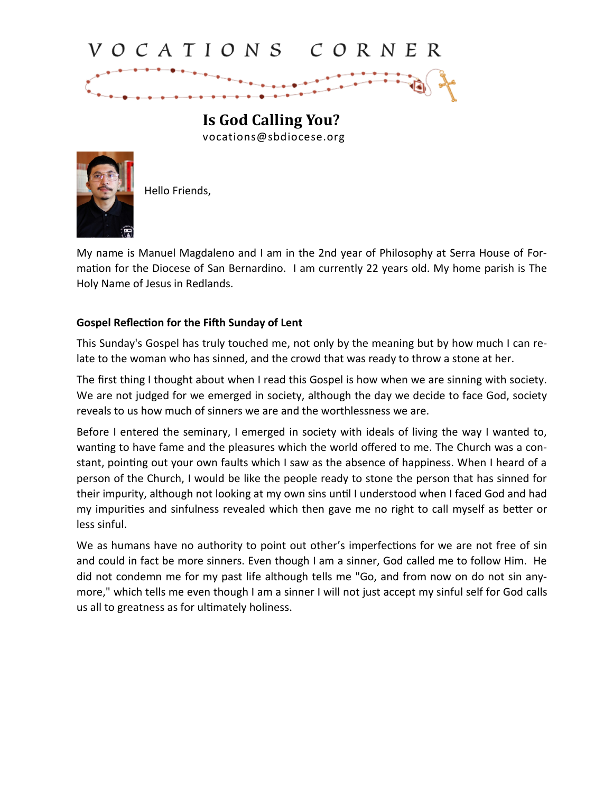## VOCATIONS CORNER

**Is God Calling You?** vocations@sbdiocese.org



Hello Friends,

My name is Manuel Magdaleno and I am in the 2nd year of Philosophy at Serra House of Formation for the Diocese of San Bernardino. I am currently 22 years old. My home parish is The Holy Name of Jesus in Redlands.

## **Gospel Reflection for the Fifth Sunday of Lent**

This Sunday's Gospel has truly touched me, not only by the meaning but by how much I can relate to the woman who has sinned, and the crowd that was ready to throw a stone at her.

The first thing I thought about when I read this Gospel is how when we are sinning with society. We are not judged for we emerged in society, although the day we decide to face God, society reveals to us how much of sinners we are and the worthlessness we are.

Before I entered the seminary, I emerged in society with ideals of living the way I wanted to, wanting to have fame and the pleasures which the world offered to me. The Church was a constant, pointing out your own faults which I saw as the absence of happiness. When I heard of a person of the Church, I would be like the people ready to stone the person that has sinned for their impurity, although not looking at my own sins until I understood when I faced God and had my impurities and sinfulness revealed which then gave me no right to call myself as better or less sinful.

We as humans have no authority to point out other's imperfections for we are not free of sin and could in fact be more sinners. Even though I am a sinner, God called me to follow Him. He did not condemn me for my past life although tells me "Go, and from now on do not sin anymore," which tells me even though I am a sinner I will not just accept my sinful self for God calls us all to greatness as for ultimately holiness.